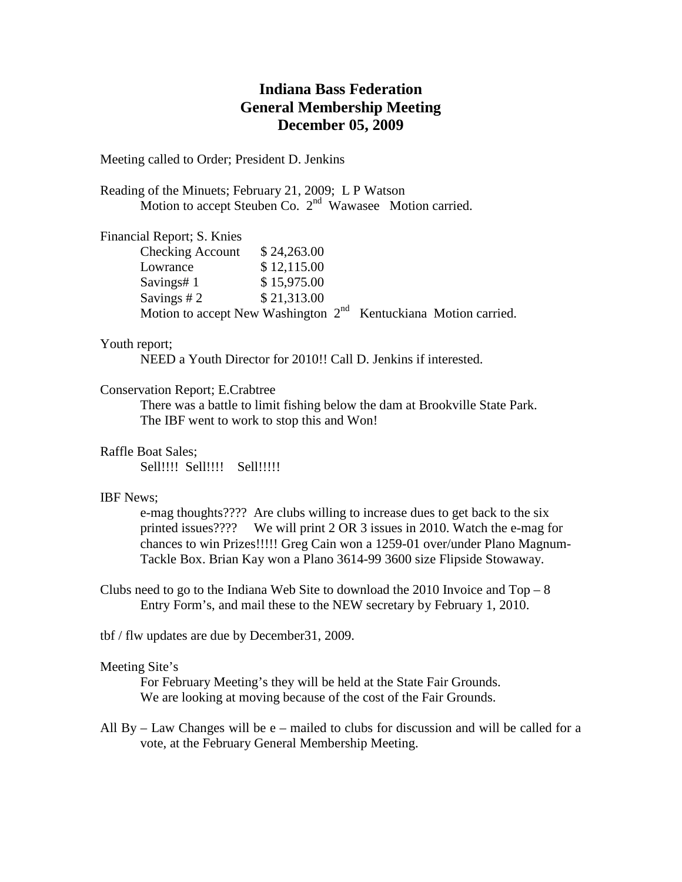# **Indiana Bass Federation General Membership Meeting December 05, 2009**

Meeting called to Order; President D. Jenkins

Reading of the Minuets; February 21, 2009; L P Watson Motion to accept Steuben Co. 2<sup>nd</sup> Wawasee Motion carried.

Financial Report; S. Knies

| <b>Checking Account</b>                                           | \$24,263.00 |  |
|-------------------------------------------------------------------|-------------|--|
| Lowrance                                                          | \$12,115.00 |  |
| Savings#1                                                         | \$15,975.00 |  |
| Savings $#2$                                                      | \$21,313.00 |  |
| Motion to accept New Washington $2nd$ Kentuckiana Motion carried. |             |  |

## Youth report;

NEED a Youth Director for 2010!! Call D. Jenkins if interested.

### Conservation Report; E.Crabtree

There was a battle to limit fishing below the dam at Brookville State Park. The IBF went to work to stop this and Won!

Raffle Boat Sales;

Sell!!!! Sell!!!! Sell!!!!!

#### IBF News;

e-mag thoughts???? Are clubs willing to increase dues to get back to the six printed issues???? We will print 2 OR 3 issues in 2010. Watch the e-mag for chances to win Prizes!!!!! Greg Cain won a 1259-01 over/under Plano Magnum-Tackle Box. Brian Kay won a Plano 3614-99 3600 size Flipside Stowaway.

Clubs need to go to the Indiana Web Site to download the 2010 Invoice and  $Top-8$ Entry Form's, and mail these to the NEW secretary by February 1, 2010.

tbf / flw updates are due by December31, 2009.

#### Meeting Site's

For February Meeting's they will be held at the State Fair Grounds. We are looking at moving because of the cost of the Fair Grounds.

All  $By - Law Changes$  will be  $e$  – mailed to clubs for discussion and will be called for a vote, at the February General Membership Meeting.